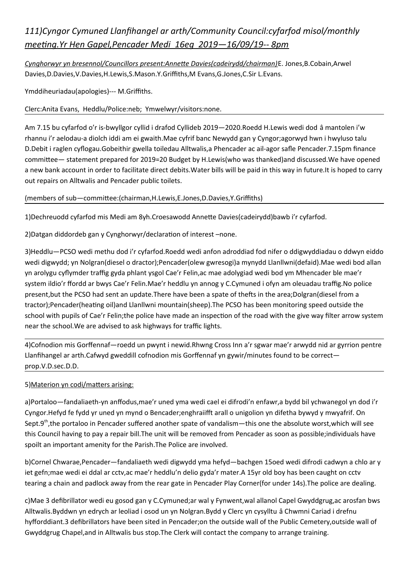# *111)Cyngor Cymuned Llanfihangel ar arth/Community Council:cyfarfod misol/monthly meeting.Yr Hen Gapel,Pencader Medi 16eg 2019—16/09/19-- 8pm*

*Cynghorwyr yn bresennol/Councillors present:Annette Davies(cadeirydd/chairman)*E. Jones,B.Cobain,Arwel Davies,D.Davies,V.Davies,H.Lewis,S.Mason.Y.Griffiths,M Evans,G.Jones,C.Sir L.Evans.

Ymddiheuriadau(apologies)--- M.Griffiths.

Clerc:Anita Evans, Heddlu/Police:neb; Ymwelwyr/visitors:none.

Am 7.15 bu cyfarfod o'r is-bwyllgor cyllid i drafod Cyllideb 2019—2020.Roedd H.Lewis wedi dod â mantolen i'w rhannu i'r aelodau-a diolch iddi am ei gwaith.Mae cyfrif banc Newydd gan y Cyngor;agorwyd hwn i hwyluso talu D.Debit i raglen cyflogau.Gobeithir gwella toiledau Alltwalis,a Phencader ac ail-agor safle Pencader.7.15pm finance committee— statement prepared for 2019=20 Budget by H.Lewis(who was thanked)and discussed.We have opened a new bank account in order to facilitate direct debits.Water bills will be paid in this way in future.It is hoped to carry out repairs on Alltwalis and Pencader public toilets.

## (members of sub—committee:(chairman,H.Lewis,E.Jones,D.Davies,Y.Griffiths)

1)Dechreuodd cyfarfod mis Medi am 8yh.Croesawodd Annette Davies(cadeirydd)bawb i'r cyfarfod.

2)Datgan diddordeb gan y Cynghorwyr/declaration of interest –none.

3)Heddlu—PCSO wedi methu dod i'r cyfarfod.Roedd wedi anfon adroddiad fod nifer o ddigwyddiadau o ddwyn eiddo wedi digwydd; yn Nolgran(diesel o dractor);Pencader(olew gwresogi)a mynydd Llanllwni(defaid).Mae wedi bod allan yn arolygu cyflymder traffig gyda phlant ysgol Cae'r Felin,ac mae adolygiad wedi bod ym Mhencader ble mae'r system ildio'r ffordd ar bwys Cae'r Felin.Mae'r heddlu yn annog y C.Cymuned i ofyn am oleuadau traffig.No police present,but the PCSO had sent an update.There have been a spate of thefts in the area;Dolgran(diesel from a tractor);Pencader(heating oil)and Llanllwni mountain(sheep).The PCSO has been monitoring speed outside the school with pupils of Cae'r Felin;the police have made an inspection of the road with the give way filter arrow system near the school.We are advised to ask highways for traffic lights.

4)Cofnodion mis Gorffennaf—roedd un pwynt i newid.Rhwng Cross Inn a'r sgwar mae'r arwydd nid ar gyrrion pentre Llanfihangel ar arth.Cafwyd gweddill cofnodion mis Gorffennaf yn gywir/minutes found to be correct prop.V.D.sec.D.D.

## 5)Materion yn codi/matters arising:

a)Portaloo—fandaliaeth-yn anffodus,mae'r uned yma wedi cael ei difrodi'n enfawr,a bydd bil ychwanegol yn dod i'r Cyngor.Hefyd fe fydd yr uned yn mynd o Bencader;enghraiifft arall o unigolion yn difetha bywyd y mwyafrif. On Sept.9<sup>th</sup>,the portaloo in Pencader suffered another spate of vandalism—this one the absolute worst, which will see this Council having to pay a repair bill.The unit will be removed from Pencader as soon as possible;individuals have spoilt an important amenity for the Parish.The Police are involved.

b)Cornel Chwarae,Pencader—fandaliaeth wedi digwydd yma hefyd—bachgen 15oed wedi difrodi cadwyn a chlo ar y iet gefn;mae wedi ei ddal ar cctv,ac mae'r heddlu'n delio gyda'r mater.A 15yr old boy has been caught on cctv tearing a chain and padlock away from the rear gate in Pencader Play Corner(for under 14s).The police are dealing.

c)Mae 3 defibrillator wedi eu gosod gan y C.Cymuned;ar wal y Fynwent,wal allanol Capel Gwyddgrug,ac arosfan bws Alltwalis.Byddwn yn edrych ar leoliad i osod un yn Nolgran.Bydd y Clerc yn cysylltu â Chwmni Cariad i drefnu hyfforddiant.3 defibrillators have been sited in Pencader;on the outside wall of the Public Cemetery,outside wall of Gwyddgrug Chapel,and in Alltwalis bus stop.The Clerk will contact the company to arrange training.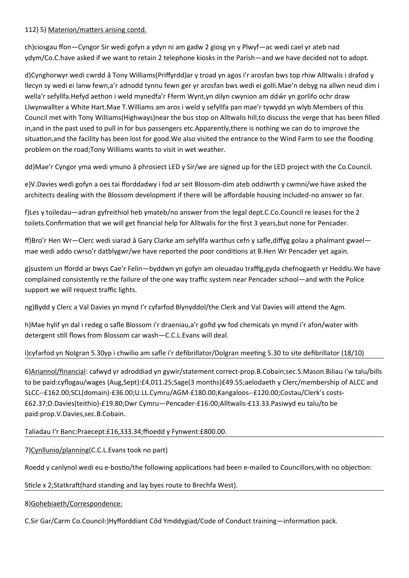## 112) 5) Materion/matters arising contd.

ch)ciosgau ffon—Cyngor Sir wedi gofyn a ydyn ni am gadw 2 giosg yn y Plwyf—ac wedi cael yr ateb nad ydym/Co.C.have asked if we want to retain 2 telephone kiosks in the Parish—and we have decided not to adopt.

d)Cynghorwyr wedi cwrdd â Tony Williams(Priffyrdd)ar y troad yn agos i'r arosfan bws top rhiw Alltwalis i drafod y llecyn sy wedi ei lanw fewn,a'r adnodd tynnu fewn ger yr arosfan bws wedi ei golli.Mae'n debyg na allwn neud dim i wella'r sefyllfa.Hefyd aethon i weld mynedfa'r Fferm Wynt,yn dilyn cwynion am ddŵr yn gorlifo ochr draw Llwynwallter a White Hart.Mae T.Williams am aros i weld y sefyllfa pan mae'r tywydd yn wlyb.Members of this Council met with Tony Williams(Highways)near the bus stop on Alltwalis hill,to discuss the verge that has been filled in,and in the past used to pull in for bus passengers etc.Apparently,there is nothing we can do to improve the situation,and the facility has been lost for good.We also visited the entrance to the Wind Farm to see the flooding problem on the road;Tony Williams wants to visit in wet weather.

dd)Mae'r Cyngor yma wedi ymuno â phrosiect LED y Sir/we are signed up for the LED project with the Co.Council.

e)V.Davies wedi gofyn a oes tai fforddadwy i fod ar seit Blossom-dim ateb oddiwrth y cwmni/we have asked the architects dealing with the Blossom development if there will be affordable housing included-no answer so far.

f)Les y toiledau—adran gyfreithiol heb ymateb/no answer from the legal dept.C.Co.Council re leases for the 2 toilets.Confirmation that we will get financial help for Alltwalis for the first 3 years,but none for Pencader.

ff)Bro'r Hen Wr—Clerc wedi siarad â Gary Clarke am sefyllfa warthus cefn y safle,diffyg golau a phalmant gwael mae wedi addo cwrso'r datblygwr/we have reported the poor conditions at B.Hen Wr Pencader yet again.

g)sustem un ffordd ar bwys Cae'r Felin—byddwn yn gofyn am oleuadau traffig,gyda chefnogaeth yr Heddlu.We have complained consistently re the failure of the one way traffic system near Pencader school—and with the Police support we will request traffic lights.

ng)Bydd y Clerc a Val Davies yn mynd I'r cyfarfod Blynyddol/the Clerk and Val Davies will attend the Agm.

h)Mae hylif yn dal i redeg o safle Blossom i'r draeniau,a'r gofid yw fod chemicals yn mynd i'r afon/water with detergent still flows from Blossom car wash—C.C.L.Evans will deal.

# i)cyfarfod yn Nolgran 5.30yp i chwilio am safle i'r defibrillator/Dolgran meeting 5.30 to site defibrillator (18/10)

6)Ariannol/financial: cafwyd yr adroddiad yn gywir/statement correct-prop.B.Cobain;sec.S.Mason.Biliau i'w talu/bills to be paid:cyflogau/wages (Aug,Sept):£4,011.25;Sage(3 months)£49.55;aelodaeth y Clerc/membership of ALCC and SLCC--£162.00;SCL(domain)-£36.00;U.LL.Cymru/AGM-£180.00;Kangaloos--£120.00;Costau/Clerk's costs- £62.37;D.Davies(teithio)-£19.80;Dwr Cymru—Pencader-£16.00;Alltwalis-£13.33.Pasiwyd eu talu/to be paid:prop.V.Davies,sec.B.Cobain.

Taliadau I'r Banc:Praecept:£16,333.34;ffioedd y Fynwent:£800.00.

7)Cynllunio/planning(C.C.L.Evans took no part)

Roedd y canlynol wedi eu e-bostio/the following applications had been e-mailed to Councillors,with no objection:

Sticle x 2;Statkraft(hard standing and lay byes route to Brechfa West).

8)Gohebiaeth/Correspondence:

C.Sir Gar/Carm Co.Council:)Hyfforddiant Côd Ymddygiad/Code of Conduct training—information pack.